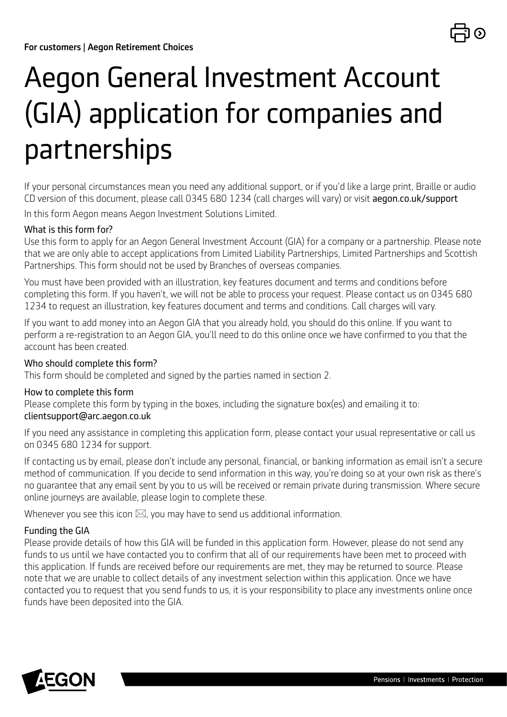

# Aegon General Investment Account (GIA) application for companies and partnerships

If your personal circumstances mean you need any additional support, or if you'd like a large print, Braille or audio CD version of this document, please call 0345 680 1234 (call charges will vary) or visit [aegon.co.uk/support](http://aegon.co.uk/support)

In this form Aegon means Aegon Investment Solutions Limited.

#### What is this form for?

Use this form to apply for an Aegon General Investment Account (GIA) for a company or a partnership. Please note that we are only able to accept applications from Limited Liability Partnerships, Limited Partnerships and Scottish Partnerships. This form should not be used by Branches of overseas companies.

You must have been provided with an illustration, key features document and terms and conditions before completing this form. If you haven't, we will not be able to process your request. Please contact us on 0345 680 1234 to request an illustration, key features document and terms and conditions. Call charges will vary.

If you want to add money into an Aegon GIA that you already hold, you should do this online. If you want to perform a re-registration to an Aegon GIA, you'll need to do this online once we have confirmed to you that the account has been created.

#### Who should complete this form?

This form should be completed and signed by the parties named in section 2.

#### How to complete this form

Please complete this form by typing in the boxes, including the signature box(es) and emailing it to: [clientsupport@arc.aegon.co.uk](mailto:clientsupport%40arc.aegon.co.uk?subject=)

If you need any assistance in completing this application form, please contact your usual representative or call us on 0345 680 1234 for support.

If contacting us by email, please don't include any personal, financial, or banking information as email isn't a secure method of communication. If you decide to send information in this way, you're doing so at your own risk as there's no guarantee that any email sent by you to us will be received or remain private during transmission. Where secure online journeys are available, please login to complete these.

Whenever you see this icon  $\boxtimes$ , you may have to send us additional information.

#### Funding the GIA

Please provide details of how this GIA will be funded in this application form. However, please do not send any funds to us until we have contacted you to confirm that all of our requirements have been met to proceed with this application. If funds are received before our requirements are met, they may be returned to source. Please note that we are unable to collect details of any investment selection within this application. Once we have contacted you to request that you send funds to us, it is your responsibility to place any investments online once funds have been deposited into the GIA.

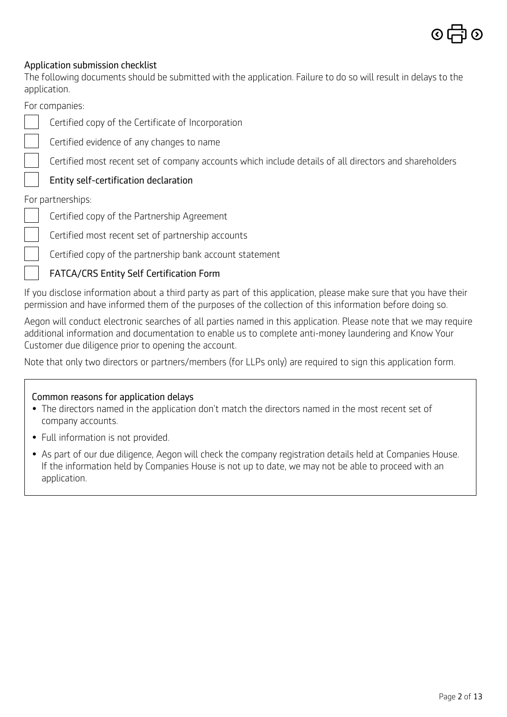

#### Application submission checklist

The following documents should be submitted with the application. Failure to do so will result in delays to the application.

For companies:

Certified copy of the Certificate of Incorporation

Certified evidence of any changes to name

Certified most recent set of company accounts which include details of all directors and shareholders

#### [Entity self-certification declaration](https://www.aegon.co.uk/content/dam/ukpaw/documents/entity-self-certification-declaration.pdf)

For partnerships:

- Certified copy of the Partnership Agreement
- Certified most recent set of partnership accounts

Certified copy of the partnership bank account statement

#### [FATCA/CRS Entity Self Certification Form](https://intermediary.aegon.co.uk/content/dam/common/documents/aegon-platform-entity-self-cert.pdf)

If you disclose information about a third party as part of this application, please make sure that you have their permission and have informed them of the purposes of the collection of this information before doing so.

Aegon will conduct electronic searches of all parties named in this application. Please note that we may require additional information and documentation to enable us to complete anti-money laundering and Know Your Customer due diligence prior to opening the account.

Note that only two directors or partners/members (for LLPs only) are required to sign this application form.

#### Common reasons for application delays

- The directors named in the application don't match the directors named in the most recent set of company accounts.
- Full information is not provided.
- As part of our due diligence, Aegon will check the company registration details held at Companies House. If the information held by Companies House is not up to date, we may not be able to proceed with an application.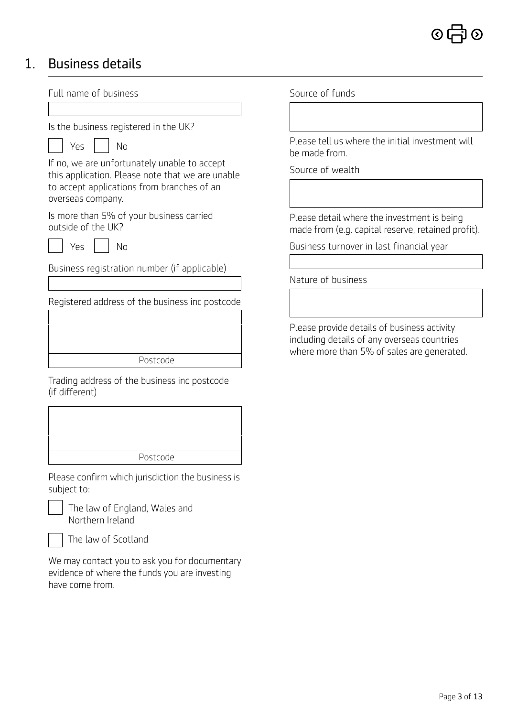### 1. Business details

Full name of business Is the business registered in the UK?  $Yes \mid \cdot \mid No$ If no, we are unfortunately unable to accept this application. Please note that we are unable to accept applications from branches of an overseas company. Is more than 5% of your business carried outside of the UK? Yes | | No Business registration number (if applicable) Registered address of the business inc postcode Postcode Trading address of the business inc postcode (if different) Postcode Please confirm which jurisdiction the business is subject to:

 The law of England, Wales and Northern Ireland

The law of Scotland

We may contact you to ask you for documentary evidence of where the funds you are investing have come from.

Source of funds

Please tell us where the initial investment will be made from.

Source of wealth

Please detail where the investment is being made from (e.g. capital reserve, retained profit).

Business turnover in last financial year

Nature of business

Please provide details of business activity including details of any overseas countries where more than 5% of sales are generated.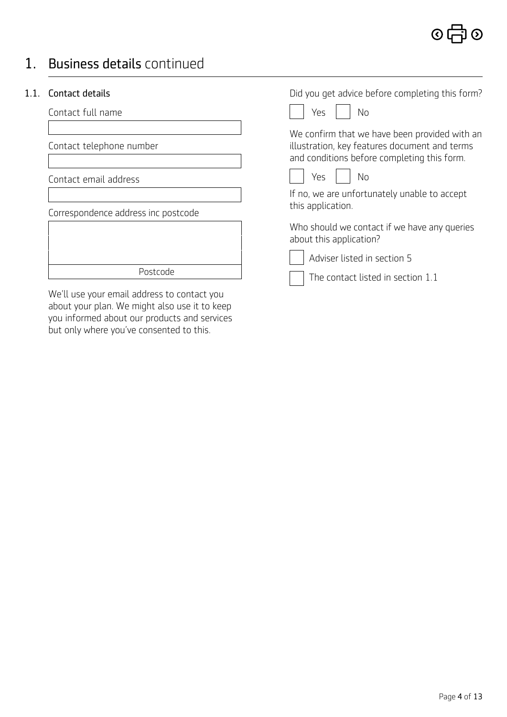### 1. Business details continued

#### 1.1. Contact details

Contact full name

Contact telephone number

Contact email address

Correspondence address inc postcode

Postcode

We'll use your email address to contact you about your plan. We might also use it to keep you informed about our products and services but only where you've consented to this.

Did you get advice before completing this form?

We confirm that we have been provided with an illustration, key features document and terms and conditions before completing this form.



If no, we are unfortunately unable to accept this application.

Who should we contact if we have any queries about this application?

 Adviser listed in section 5 The contact listed in section 1.1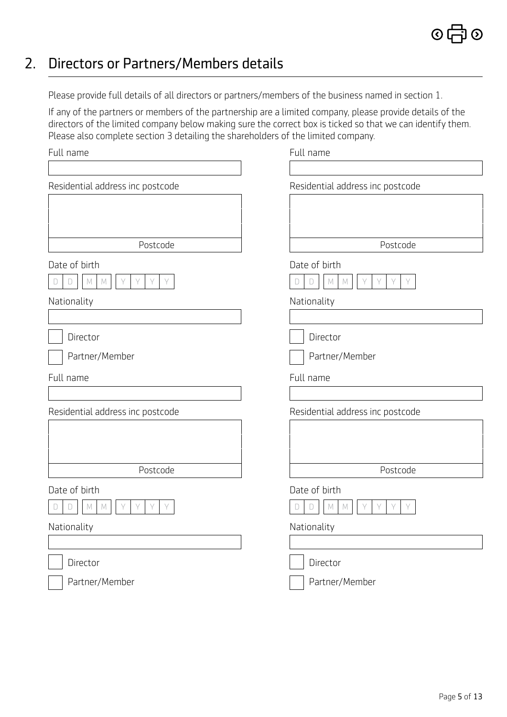### 2. Directors or Partners/Members details

Please provide full details of all directors or partners/members of the business named in section 1.

If any of the partners or members of the partnership are a limited company, please provide details of the directors of the limited company below making sure the correct box is ticked so that we can identify them. Please also complete section 3 detailing the shareholders of the limited company.

| Full name                                                | Full name                                                              |
|----------------------------------------------------------|------------------------------------------------------------------------|
|                                                          |                                                                        |
| Residential address inc postcode                         | Residential address inc postcode                                       |
|                                                          |                                                                        |
|                                                          |                                                                        |
|                                                          |                                                                        |
| Postcode                                                 | Postcode                                                               |
| Date of birth                                            | Date of birth                                                          |
| Y<br>Y<br>$\Box$<br>$\mathbb M$<br>Y<br>Y<br>M<br>$\Box$ | Y.<br>Y<br>$\Box$<br>$\mathbb M$<br>$\mathbb M$<br>$\forall$<br>Y<br>D |
| Nationality                                              | Nationality                                                            |
|                                                          |                                                                        |
| Director                                                 | Director                                                               |
| Partner/Member                                           | Partner/Member                                                         |
| Full name                                                | Full name                                                              |
|                                                          |                                                                        |
| Residential address inc postcode                         | Residential address inc postcode                                       |
|                                                          |                                                                        |
|                                                          |                                                                        |
|                                                          |                                                                        |
|                                                          |                                                                        |
| Postcode                                                 | Postcode                                                               |
| Date of birth                                            | Date of birth                                                          |
| Y<br>Υ<br>Y<br>Y<br>M<br>M                               | Y<br>Y<br>Y<br>Y<br>M<br>M<br>D                                        |
| Nationality                                              | Nationality                                                            |
|                                                          |                                                                        |
| Director                                                 | Director                                                               |

 $\odot$   $\vdash$ 

จิ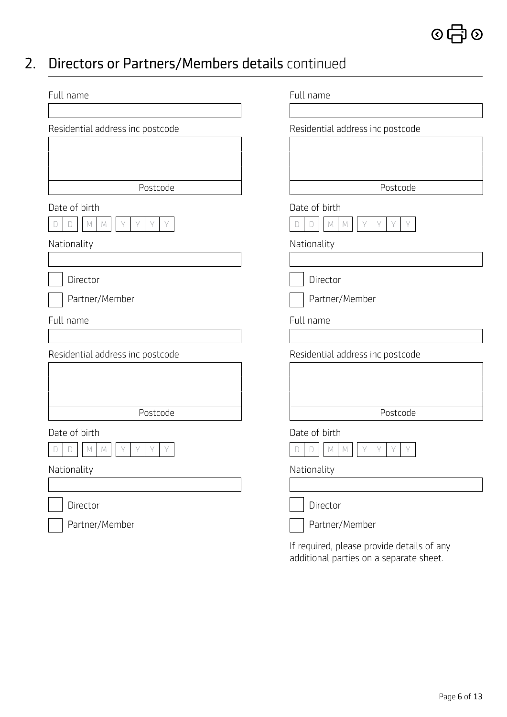### 2. Directors or Partners/Members details continued

| Full name                                                     | Full name                                                   |
|---------------------------------------------------------------|-------------------------------------------------------------|
| Residential address inc postcode                              | Residential address inc postcode                            |
| Postcode                                                      | Postcode                                                    |
| Date of birth<br>$\forall$<br>Y<br>M<br>$\Box$<br>M<br>Υ<br>Y | Date of birth<br>$\mathbb{M}$<br>Y<br>D<br>Υ<br>Y<br>M<br>D |
| Nationality                                                   | Nationality                                                 |
| Director                                                      | Director                                                    |
| Partner/Member                                                | Partner/Member                                              |
| Full name                                                     | Full name                                                   |
| Residential address inc postcode                              | Residential address inc postcode                            |
| Postcode                                                      | Postcode                                                    |
| Date of birth<br>Υ<br>Υ<br>М<br>Υ<br>M                        | Date of birth<br>Υ<br>M<br>M<br>D                           |
| Nationality                                                   | Nationality                                                 |
| Director                                                      | Director                                                    |
| Partner/Member                                                | Partner/Member                                              |
|                                                               | If required, please provide details of any                  |

additional parties on a separate sheet.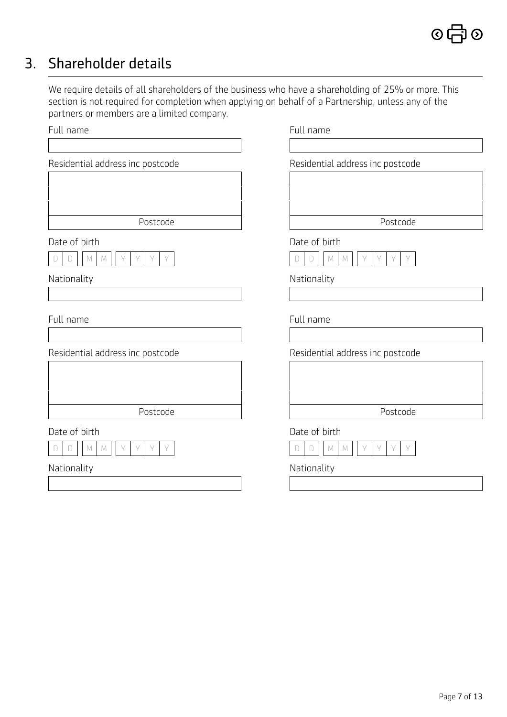### 3. Shareholder details

We require details of all shareholders of the business who have a shareholding of 25% or more. This section is not required for completion when applying on behalf of a Partnership, unless any of the partners or members are a limited company.

| Full name                                                               | Full name                                                                            |
|-------------------------------------------------------------------------|--------------------------------------------------------------------------------------|
| Residential address inc postcode                                        | Residential address inc postcode                                                     |
| Postcode                                                                | Postcode                                                                             |
| Date of birth<br>Y<br>Y<br>Y<br>M<br>D<br>M                             | Date of birth<br>Y<br>$M_{\odot}$<br>Υ<br>Y<br>D<br>D<br>M                           |
| Nationality                                                             | Nationality                                                                          |
| Full name                                                               | Full name                                                                            |
| Residential address inc postcode                                        | Residential address inc postcode                                                     |
| Postcode                                                                | Postcode                                                                             |
| Date of birth<br>Y<br>Y<br>Y<br>$\forall$<br>$\mathbb M$<br>M<br>D<br>D | Date of birth<br>$\forall$<br>$\mathbb M$<br>Y<br>$\forall$<br>$\Box$<br>M<br>Y<br>D |
| Nationality                                                             | Nationality                                                                          |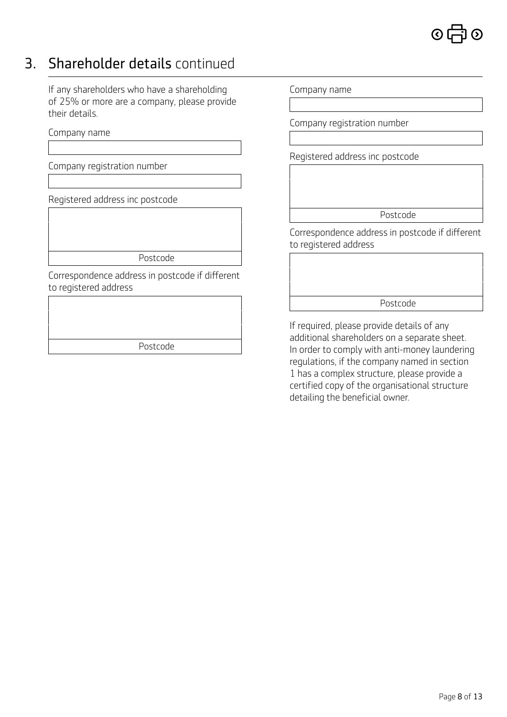

### 3. Shareholder details continued

If any shareholders who have a shareholding of 25% or more are a company, please provide their details.

Company name

Company registration number

Registered address inc postcode

Postcode

Correspondence address in postcode if different to registered address

| Postcode |  |
|----------|--|

Company name

Company registration number

Registered address inc postcode

Postcode

Correspondence address in postcode if different to registered address

Postcode

If required, please provide details of any additional shareholders on a separate sheet. In order to comply with anti-money laundering regulations, if the company named in section 1 has a complex structure, please provide a certified copy of the organisational structure detailing the beneficial owner.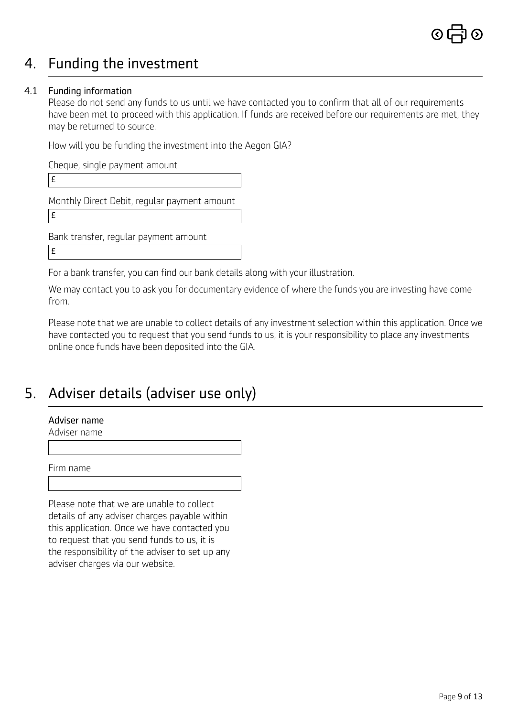### 4. Funding the investment

#### 4.1 Funding information

Please do not send any funds to us until we have contacted you to confirm that all of our requirements have been met to proceed with this application. If funds are received before our requirements are met, they may be returned to source.

How will you be funding the investment into the Aegon GIA?

Cheque, single payment amount £ Monthly Direct Debit, regular payment amount £ Bank transfer, regular payment amount £

For a bank transfer, you can find our bank details along with your illustration.

We may contact you to ask you for documentary evidence of where the funds you are investing have come from.

Please note that we are unable to collect details of any investment selection within this application. Once we have contacted you to request that you send funds to us, it is your responsibility to place any investments online once funds have been deposited into the GIA.

### 5. Adviser details (adviser use only)

#### Adviser name

Adviser name

Firm name

Please note that we are unable to collect details of any adviser charges payable within this application. Once we have contacted you to request that you send funds to us, it is the responsibility of the adviser to set up any adviser charges via our website.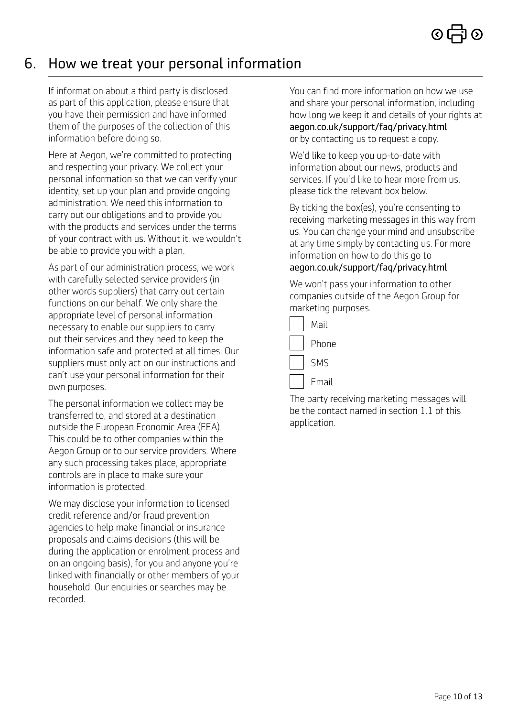### 6. How we treat your personal information

If information about a third party is disclosed as part of this application, please ensure that you have their permission and have informed them of the purposes of the collection of this information before doing so.

Here at Aegon, we're committed to protecting and respecting your privacy. We collect your personal information so that we can verify your identity, set up your plan and provide ongoing administration. We need this information to carry out our obligations and to provide you with the products and services under the terms of your contract with us. Without it, we wouldn't be able to provide you with a plan.

As part of our administration process, we work with carefully selected service providers (in other words suppliers) that carry out certain functions on our behalf. We only share the appropriate level of personal information necessary to enable our suppliers to carry out their services and they need to keep the information safe and protected at all times. Our suppliers must only act on our instructions and can't use your personal information for their own purposes.

The personal information we collect may be transferred to, and stored at a destination outside the European Economic Area (EEA). This could be to other companies within the Aegon Group or to our service providers. Where any such processing takes place, appropriate controls are in place to make sure your information is protected.

We may disclose your information to licensed credit reference and/or fraud prevention agencies to help make financial or insurance proposals and claims decisions (this will be during the application or enrolment process and on an ongoing basis), for you and anyone you're linked with financially or other members of your household. Our enquiries or searches may be recorded.

You can find more information on how we use and share your personal information, including how long we keep it and details of your rights at [aegon.co.uk/support/faq/privacy.html](http://www.aegon.co.uk/support/faq/privacy.html) or by contacting us to request a copy.

We'd like to keep you up-to-date with information about our news, products and services. If you'd like to hear more from us, please tick the relevant box below.

By ticking the box(es), you're consenting to receiving marketing messages in this way from us. You can change your mind and unsubscribe at any time simply by contacting us. For more information on how to do this go to [aegon.co.uk/support/faq/privacy.html](http://www.aegon.co.uk/support/faq/privacy.html)

We won't pass your information to other companies outside of the Aegon Group for marketing purposes.

| Mail  |
|-------|
| Phone |
| SMS   |
| Email |

The party receiving marketing messages will be the contact named in section 1.1 of this application.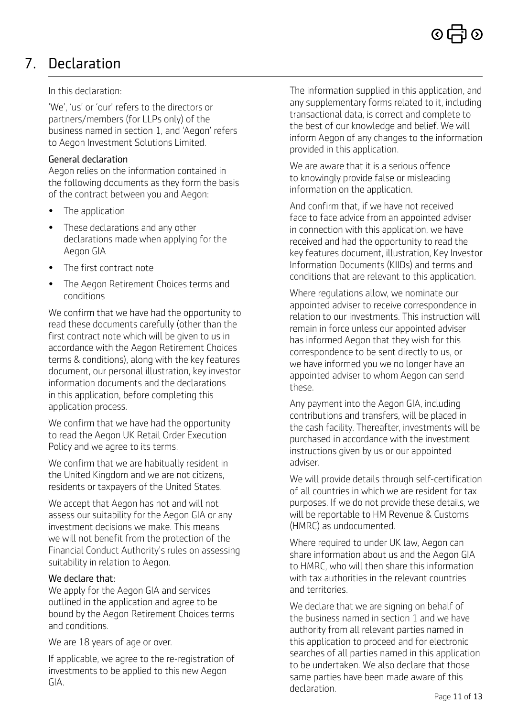# 7. Declaration

#### In this declaration:

'We', 'us' or 'our' refers to the directors or partners/members (for LLPs only) of the business named in section 1, and 'Aegon' refers to Aegon Investment Solutions Limited.

#### General declaration

Aegon relies on the information contained in the following documents as they form the basis of the contract between you and Aegon:

- The application
- These declarations and any other declarations made when applying for the Aegon GIA
- The first contract note
- The Aegon Retirement Choices terms and conditions

We confirm that we have had the opportunity to read these documents carefully (other than the first contract note which will be given to us in accordance with the Aegon Retirement Choices terms & conditions), along with the key features document, our personal illustration, key investor information documents and the declarations in this application, before completing this application process.

We confirm that we have had the opportunity to read the Aegon UK Retail Order Execution Policy and we agree to its terms.

We confirm that we are habitually resident in the United Kingdom and we are not citizens, residents or taxpayers of the United States.

We accept that Aegon has not and will not assess our suitability for the Aegon GIA or any investment decisions we make. This means we will not benefit from the protection of the Financial Conduct Authority's rules on assessing suitability in relation to Aegon.

#### We declare that:

We apply for the Aegon GIA and services outlined in the application and agree to be bound by the Aegon Retirement Choices terms and conditions.

We are 18 years of age or over.

If applicable, we agree to the re-registration of investments to be applied to this new Aegon GIA.

The information supplied in this application, and any supplementary forms related to it, including transactional data, is correct and complete to the best of our knowledge and belief. We will inform Aegon of any changes to the information provided in this application.

We are aware that it is a serious offence to knowingly provide false or misleading information on the application.

And confirm that, if we have not received face to face advice from an appointed adviser in connection with this application, we have received and had the opportunity to read the key features document, illustration, Key Investor Information Documents (KIIDs) and terms and conditions that are relevant to this application.

Where regulations allow, we nominate our appointed adviser to receive correspondence in relation to our investments. This instruction will remain in force unless our appointed adviser has informed Aegon that they wish for this correspondence to be sent directly to us, or we have informed you we no longer have an appointed adviser to whom Aegon can send these.

Any payment into the Aegon GIA, including contributions and transfers, will be placed in the cash facility. Thereafter, investments will be purchased in accordance with the investment instructions given by us or our appointed adviser.

We will provide details through self-certification of all countries in which we are resident for tax purposes. If we do not provide these details, we will be reportable to HM Revenue & Customs (HMRC) as undocumented.

Where required to under UK law, Aegon can share information about us and the Aegon GIA to HMRC, who will then share this information with tax authorities in the relevant countries and territories.

We declare that we are signing on behalf of the business named in section 1 and we have authority from all relevant parties named in this application to proceed and for electronic searches of all parties named in this application to be undertaken. We also declare that those same parties have been made aware of this declaration.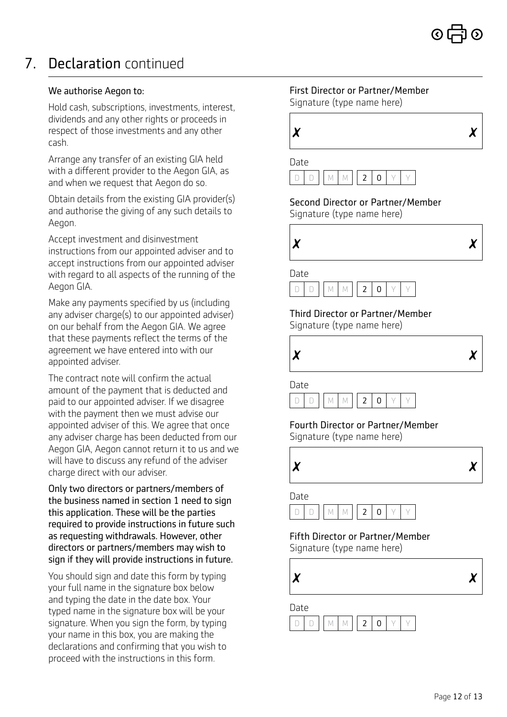# 7. Declaration continued

#### We authorise Aegon to:

Hold cash, subscriptions, investments, interest, dividends and any other rights or proceeds in respect of those investments and any other cash.

Arrange any transfer of an existing GIA held with a different provider to the Aegon GIA, as and when we request that Aegon do so.

Obtain details from the existing GIA provider(s) and authorise the giving of any such details to Aegon.

Accept investment and disinvestment instructions from our appointed adviser and to accept instructions from our appointed adviser with regard to all aspects of the running of the Aegon GIA.

Make any payments specified by us (including any adviser charge(s) to our appointed adviser) on our behalf from the Aegon GIA. We agree that these payments reflect the terms of the agreement we have entered into with our appointed adviser.

The contract note will confirm the actual amount of the payment that is deducted and paid to our appointed adviser. If we disagree with the payment then we must advise our appointed adviser of this. We agree that once any adviser charge has been deducted from our Aegon GIA, Aegon cannot return it to us and we will have to discuss any refund of the adviser charge direct with our adviser.

Only two directors or partners/members of the business named in section 1 need to sign this application. These will be the parties required to provide instructions in future such as requesting withdrawals. However, other directors or partners/members may wish to sign if they will provide instructions in future.

You should sign and date this form by typing your full name in the signature box below and typing the date in the date box. Your typed name in the signature box will be your signature. When you sign the form, by typing your name in this box, you are making the declarations and confirming that you wish to proceed with the instructions in this form.

#### First Director or Partner/Member Signature (type name here)





Second Director or Partner/Member Signature (type name here)



Date



Third Director or Partner/Member Signature (type name here)



Date



Fourth Director or Partner/Member Signature (type name here)



#### Date



Fifth Director or Partner/Member

Signature (type name here)